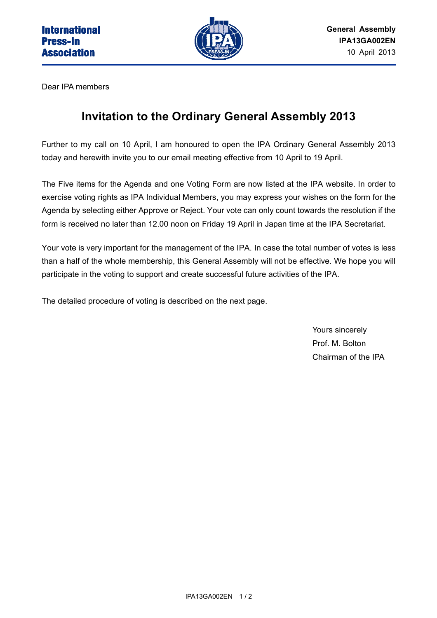

Dear IPA members

# **Invitation to the Ordinary General Assembly 2013**

Further to my call on 10 April, I am honoured to open the IPA Ordinary General Assembly 2013 today and herewith invite you to our email meeting effective from 10 April to 19 April.

The Five items for the Agenda and one Voting Form are now listed at the IPA website. In order to exercise voting rights as IPA Individual Members, you may express your wishes on the form for the Agenda by selecting either Approve or Reject. Your vote can only count towards the resolution if the form is received no later than 12.00 noon on Friday 19 April in Japan time at the IPA Secretariat.

Your vote is very important for the management of the IPA. In case the total number of votes is less than a half of the whole membership, this General Assembly will not be effective. We hope you will participate in the voting to support and create successful future activities of the IPA.

The detailed procedure of voting is described on the next page.

Yours sincerely Prof. M. Bolton Chairman of the IPA